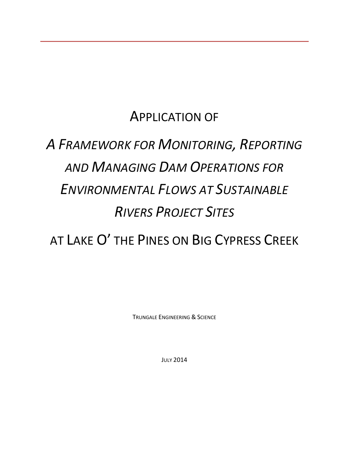## APPLICATION OF

# *A FRAMEWORK FOR MONITORING, REPORTING AND MANAGING DAM OPERATIONS FOR ENVIRONMENTAL FLOWS AT SUSTAINABLE RIVERS PROJECT SITES*

AT LAKE O' THE PINES ON BIG CYPRESS CREEK

TRUNGALE ENGINEERING & SCIENCE

JULY 2014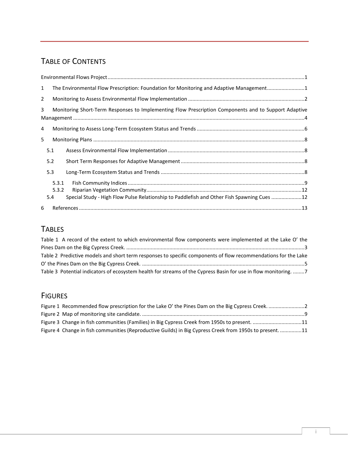## TABLE OF CONTENTS

| $\mathbf{1}$   |       | The Environmental Flow Prescription: Foundation for Monitoring and Adaptive Management1              |  |  |  |  |  |  |
|----------------|-------|------------------------------------------------------------------------------------------------------|--|--|--|--|--|--|
| $\overline{2}$ |       |                                                                                                      |  |  |  |  |  |  |
| 3              |       | Monitoring Short-Term Responses to Implementing Flow Prescription Components and to Support Adaptive |  |  |  |  |  |  |
| 4              |       |                                                                                                      |  |  |  |  |  |  |
| 5              |       |                                                                                                      |  |  |  |  |  |  |
|                | 5.1   |                                                                                                      |  |  |  |  |  |  |
|                | 5.2   |                                                                                                      |  |  |  |  |  |  |
|                | 5.3   |                                                                                                      |  |  |  |  |  |  |
|                | 5.3.1 |                                                                                                      |  |  |  |  |  |  |
|                | 5.3.2 |                                                                                                      |  |  |  |  |  |  |
|                | 5.4   | Special Study - High Flow Pulse Relationship to Paddlefish and Other Fish Spawning Cues 12           |  |  |  |  |  |  |
| 6              |       |                                                                                                      |  |  |  |  |  |  |

## **TABLES**

| Table 1 A record of the extent to which environmental flow components were implemented at the Lake O' the       |
|-----------------------------------------------------------------------------------------------------------------|
|                                                                                                                 |
| Table 2 Predictive models and short term responses to specific components of flow recommendations for the Lake  |
|                                                                                                                 |
| Table 3 Potential indicators of ecosystem health for streams of the Cypress Basin for use in flow monitoring. 7 |

### **FIGURES**

| Figure 3 Change in fish communities (Families) in Big Cypress Creek from 1950s to present. 11            |  |
|----------------------------------------------------------------------------------------------------------|--|
| Figure 4 Change in fish communities (Reproductive Guilds) in Big Cypress Creek from 1950s to present. 11 |  |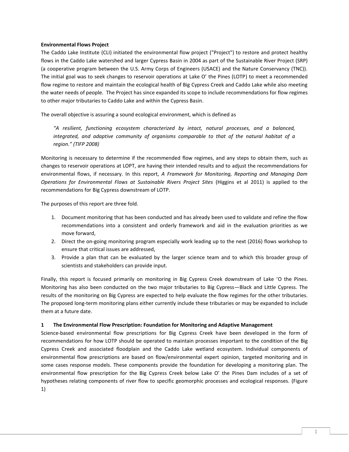#### <span id="page-2-0"></span>**Environmental Flows Project**

The Caddo Lake Institute (CLI) initiated the environmental flow project ("Project") to restore and protect healthy flows in the Caddo Lake watershed and larger Cypress Basin in 2004 as part of the Sustainable River Project (SRP) (a cooperative program between the U.S. Army Corps of Engineers (USACE) and the Nature Conservancy (TNC)). The initial goal was to seek changes to reservoir operations at Lake O' the Pines (LOTP) to meet a recommended flow regime to restore and maintain the ecological health of Big Cypress Creek and Caddo Lake while also meeting the water needs of people. The Project has since expanded its scope to include recommendations for flow regimes to other major tributaries to Caddo Lake and within the Cypress Basin.

The overall objective is assuring a sound ecological environment, which is defined as

*"A resilient, functioning ecosystem characterized by intact, natural processes, and a balanced, integrated, and adaptive community of organisms comparable to that of the natural habitat of a region." (TIFP 2008)*

Monitoring is necessary to determine if the recommended flow regimes, and any steps to obtain them, such as changes to reservoir operations at LOPT, are having their intended results and to adjust the recommendations for environmental flows, if necessary. In this report, *A Framework for Monitoring, Reporting and Managing Dam Operations for Environmental Flows at Sustainable Rivers Project Sites* (Higgins et al 2011) is applied to the recommendations for Big Cypress downstream of LOTP.

The purposes of this report are three fold.

- 1. Document monitoring that has been conducted and has already been used to validate and refine the flow recommendations into a consistent and orderly framework and aid in the evaluation priorities as we move forward,
- 2. Direct the on-going monitoring program especially work leading up to the next (2016) flows workshop to ensure that critical issues are addressed,
- 3. Provide a plan that can be evaluated by the larger science team and to which this broader group of scientists and stakeholders can provide input.

Finally, this report is focused primarily on monitoring in Big Cypress Creek downstream of Lake 'O the Pines. Monitoring has also been conducted on the two major tributaries to Big Cypress—Black and Little Cypress. The results of the monitoring on Big Cypress are expected to help evaluate the flow regimes for the other tributaries. The proposed long-term monitoring plans either currently include these tributaries or may be expanded to include them at a future date.

#### <span id="page-2-1"></span>**1 The Environmental Flow Prescription: Foundation for Monitoring and Adaptive Management**

Science-based environmental flow prescriptions for Big Cypress Creek have been developed in the form of recommendations for how LOTP should be operated to maintain processes important to the condition of the Big Cypress Creek and associated floodplain and the Caddo Lake wetland ecosystem. Individual components of environmental flow prescriptions are based on flow/environmental expert opinion, targeted monitoring and in some cases response models. These components provide the foundation for developing a monitoring plan. The environmental flow prescription for the Big Cypress Creek below Lake O' the Pines Dam includes of a set of hypotheses relating components of river flow to specific geomorphic processes and ecological responses. [\(Figure](#page-3-1)  [1\)](#page-3-1)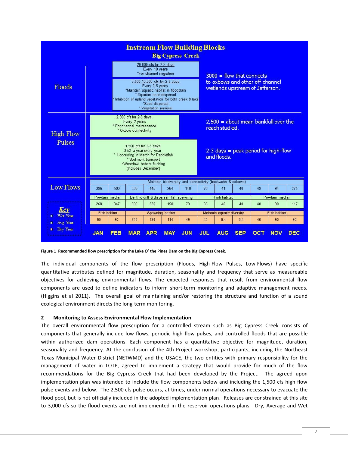| <b>Instream Flow Building Blocks</b><br><b>Big Cypress Creek</b> |                                                                                                                                                                                                                                                                                                       |                     |                                                                                                                                                   |                      |                                                             |            |            |                                                                                                   |            |     |                                        |            |
|------------------------------------------------------------------|-------------------------------------------------------------------------------------------------------------------------------------------------------------------------------------------------------------------------------------------------------------------------------------------------------|---------------------|---------------------------------------------------------------------------------------------------------------------------------------------------|----------------------|-------------------------------------------------------------|------------|------------|---------------------------------------------------------------------------------------------------|------------|-----|----------------------------------------|------------|
| Floods                                                           | 20,000 cfs for 2-3 days<br>Every 10 years<br>*For channel migration<br>3,000-10,000 cfs for 2-3 days<br>Every 3-5 years<br>*Maintain aquatic habitat in floodplain<br>* Riparian seed dispersal<br>* Inhibition of upland vegetation for both creek & lake<br>*Seed dispersal<br>* Vegetation removal |                     |                                                                                                                                                   |                      |                                                             |            |            | $3000 =$ flow that connects<br>to oxbows and other off-channel<br>wetlands upstream of Jefferson. |            |     |                                        |            |
| <b>High Flow</b>                                                 |                                                                                                                                                                                                                                                                                                       |                     | $2.500$ cfs for $2-3$ days<br>Every 2 years<br>* For channel maintenance<br>* Oxbow connectivity                                                  |                      |                                                             |            |            | reach studied.                                                                                    |            |     | $2,500 =$ about mean bankfull over the |            |
| Pulses                                                           |                                                                                                                                                                                                                                                                                                       |                     | 1.500 cfs for $2-3$ days<br>3-5X a year every year<br>* 1 occurring in March for Paddlefish<br>.Waterfowl habitat flushing<br>(Includes December) | * Sediment transport |                                                             |            |            | and floods.                                                                                       |            |     | $2-3$ days = peak period for high-flow |            |
|                                                                  |                                                                                                                                                                                                                                                                                                       |                     |                                                                                                                                                   |                      | Maintain biodiversity and connectivity (backwater & oxbows) |            |            |                                                                                                   |            |     |                                        |            |
| <b>Low Flows</b>                                                 | 396                                                                                                                                                                                                                                                                                                   | 500                 | 536                                                                                                                                               | 445                  | 264                                                         | 140        | 70         | 41                                                                                                | 40         | 49  | 94                                     | 275        |
|                                                                  |                                                                                                                                                                                                                                                                                                       | Pre-dam median      |                                                                                                                                                   |                      | Benthic drift & dispersal, fish spawning                    |            |            | Fish habitat                                                                                      |            |     | Pre-dam median                         |            |
| Kev                                                              | 268                                                                                                                                                                                                                                                                                                   | 347                 | 390                                                                                                                                               | 330                  | 150                                                         | 79         | 35         | 40                                                                                                | 40         | 40  | 90                                     | 117        |
| Wet Year                                                         |                                                                                                                                                                                                                                                                                                       | <b>Fish habitat</b> |                                                                                                                                                   |                      | Spawning habitat                                            |            |            | Maintain aquatic diversity                                                                        |            |     | <b>Fish habitat</b>                    |            |
| Avg Year                                                         | 90                                                                                                                                                                                                                                                                                                    | 90                  | 218                                                                                                                                               | 198                  | 114                                                         | 49         | 13         | 8.4                                                                                               | 8.4        | 40  | 90                                     | 90         |
| Dry Year<br>■                                                    | <b>JAN</b>                                                                                                                                                                                                                                                                                            | FEB                 | <b>MAR</b>                                                                                                                                        | <b>APR</b>           | <b>MAY</b>                                                  | <b>JUN</b> | <b>JUL</b> | <b>AUG</b>                                                                                        | <b>SEP</b> | OCT | <b>NOV</b>                             | <b>DEC</b> |

<span id="page-3-1"></span>**Figure 1 Recommended flow prescription for the Lake O' the Pines Dam on the Big Cypress Creek.**

The individual components of the flow prescription (Floods, High‐Flow Pulses, Low‐Flows) have specific quantitative attributes defined for magnitude, duration, seasonality and frequency that serve as measureable objectives for achieving environmental flows. The expected responses that result from environmental flow components are used to define indicators to inform short-term monitoring and adaptive management needs. (Higgins et al 2011). The overall goal of maintaining and/or restoring the structure and function of a sound ecological environment directs the long-term monitoring.

#### <span id="page-3-0"></span>**2 Monitoring to Assess Environmental Flow Implementation**

The overall environmental flow prescription for a controlled stream such as Big Cypress Creek consists of components that generally include low flows, periodic high flow pulses, and controlled floods that are possible within authorized dam operations. Each component has a quantitative objective for magnitude, duration, seasonality and frequency. At the conclusion of the 4th Project workshop, participants, including the Northeast Texas Municipal Water District (NETWMD) and the USACE, the two entities with primary responsibility for the management of water in LOTP, agreed to implement a strategy that would provide for much of the flow recommendations for the Big Cypress Creek that had been developed by the Project. The agreed upon implementation plan was intended to include the flow components below and including the 1,500 cfs high flow pulse events and below. The 2,500 cfs pulse occurs, at times, under normal operations necessary to evacuate the flood pool, but is not officially included in the adopted implementation plan. Releases are constrained at this site to 3,000 cfs so the flood events are not implemented in the reservoir operations plans. Dry, Average and Wet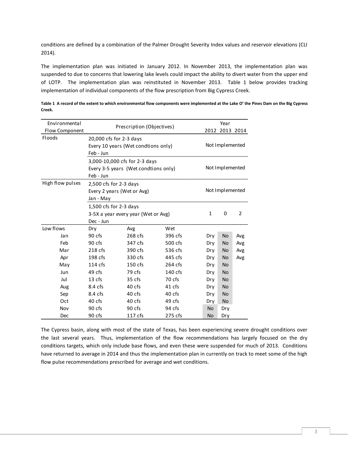conditions are defined by a combination of the Palmer Drought Severity Index values and reservoir elevations (CLI 2014).

The implementation plan was initiated in January 2012. In November 2013, the implementation plan was suspended to due to concerns that lowering lake levels could impact the ability to divert water from the upper end of LOTP. The implementation plan was reinstituted in November 2013. [Table 1](#page-4-0) below provides tracking implementation of individual components of the flow prescription from Big Cypress Creek.

| Environmental    | Prescription (Objectives)            | Year            |                 |                 |           |     |
|------------------|--------------------------------------|-----------------|-----------------|-----------------|-----------|-----|
| Flow Component   |                                      |                 | 2012 2013 2014  |                 |           |     |
| Floods           | 20,000 cfs for 2-3 days              |                 |                 |                 |           |     |
|                  | Every 10 years (Wet condtions only)  |                 | Not Implemented |                 |           |     |
|                  | Feb - Jun                            |                 |                 |                 |           |     |
|                  | 3,000-10,000 cfs for 2-3 days        |                 |                 |                 |           |     |
|                  | Every 3-5 years (Wet condtions only) | Not Implemented |                 |                 |           |     |
|                  | Feb - Jun                            |                 |                 |                 |           |     |
| High flow pulses | $2,500$ cfs for 2-3 days             |                 |                 |                 |           |     |
|                  | Every 2 years (Wet or Avg)           |                 |                 | Not Implemented |           |     |
|                  | Jan - May                            |                 |                 |                 |           |     |
|                  | 1,500 cfs for $2-3$ days             |                 |                 |                 |           |     |
|                  | 3-5X a year every year (Wet or Avg)  | $\mathbf{1}$    | 0               | 2               |           |     |
|                  | Dec - Jun                            |                 |                 |                 |           |     |
| Low flows        | Dry                                  | Avg             | Wet             |                 |           |     |
| Jan              | 90 cfs                               | 268 cfs         | 396 cfs         | Dry             | No        | Avg |
| Feb              | 90 cfs                               | 347 cfs         | 500 cfs         | Dry             | No        | Avg |
| Mar              | 218 cfs                              | 390 cfs         | 536 cfs         | Dry             | <b>No</b> | Avg |
| Apr              | 198 cfs                              | 330 cfs         | 445 cfs         | Dry             | <b>No</b> | Avg |
| May              | $114$ cfs                            | 150 cfs         | 264 cfs         | Dry             | <b>No</b> |     |
| Jun              | 49 cfs                               | 79 cfs          | 140 cfs         | Dry             | <b>No</b> |     |
| Jul              | 13 cfs                               | 35 cfs          | 70 cfs          | Dry             | <b>No</b> |     |
| Aug              | 8.4 cfs                              | 40 cfs          | 41 cfs          | Dry             | <b>No</b> |     |
| Sep              | 8.4 cfs                              | 40 cfs          | 40 cfs          | Dry             | <b>No</b> |     |
| Oct              | 40 cfs                               | 40 cfs          | 49 cfs          | Dry             | <b>No</b> |     |
| Nov              | 90 cfs                               | 90 cfs          | 94 cfs          | <b>No</b>       | Dry       |     |
| Dec              | 90 cfs                               | 117 cfs         | 275 cfs         | <b>No</b>       | Dry       |     |

<span id="page-4-0"></span>**Table 1 A record of the extent to which environmental flow components were implemented at the Lake O' the Pines Dam on the Big Cypress Creek.**

The Cypress basin, along with most of the state of Texas, has been experiencing severe drought conditions over the last several years. Thus, implementation of the flow recommendations has largely focused on the dry conditions targets, which only include base flows, and even these were suspended for much of 2013. Conditions have returned to average in 2014 and thus the implementation plan in currently on track to meet some of the high flow pulse recommendations prescribed for average and wet conditions.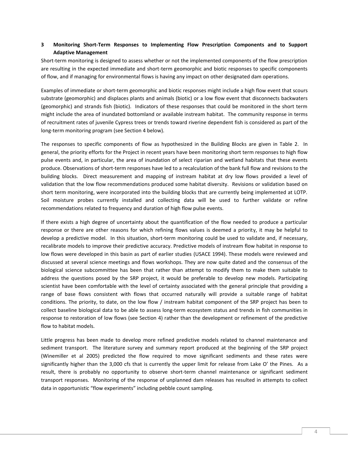#### <span id="page-5-0"></span>**3 Monitoring Short‐Term Responses to Implementing Flow Prescription Components and to Support Adaptive Management**

Short-term monitoring is designed to assess whether or not the implemented components of the flow prescription are resulting in the expected immediate and short-term geomorphic and biotic responses to specific components of flow, and if managing for environmental flows is having any impact on other designated dam operations.

Examples of immediate or short-term geomorphic and biotic responses might include a high flow event that scours substrate (geomorphic) and displaces plants and animals (biotic) or a low flow event that disconnects backwaters (geomorphic) and strands fish (biotic). Indicators of these responses that could be monitored in the short term might include the area of inundated bottomland or available instream habitat. The community response in terms of recruitment rates of juvenile Cypress trees or trends toward riverine dependent fish is considered as part of the long-term monitoring program (see Section [4](#page-7-0) below).

The responses to specific components of flow as hypothesized in the Building Blocks are given in [Table 2.](#page-6-0) In general, the priority efforts for the Project in recent years have been monitoring short term responses to high flow pulse events and, in particular, the area of inundation of select riparian and wetland habitats that these events produce. Observations of short-term responses have led to a recalculation of the bank full flow and revisions to the building blocks. Direct measurement and mapping of instream habitat at dry low flows provided a level of validation that the low flow recommendations produced some habitat diversity. Revisions or validation based on short term monitoring, were incorporated into the building blocks that are currently being implemented at LOTP. Soil moisture probes currently installed and collecting data will be used to further validate or refine recommendations related to frequency and duration of high flow pulse events.

If there exists a high degree of uncertainty about the quantification of the flow needed to produce a particular response or there are other reasons for which refining flows values is deemed a priority, it may be helpful to develop a predictive model. In this situation, short-term monitoring could be used to validate and, if necessary, recalibrate models to improve their predictive accuracy. Predictive models of instream flow habitat in response to low flows were developed in this basin as part of earlier studies (USACE 1994). These models were reviewed and discussed at several science meetings and flows workshops. They are now quite dated and the consensus of the biological science subcommittee has been that rather than attempt to modify them to make them suitable to address the questions posed by the SRP project, it would be preferable to develop new models. Participating scientist have been comfortable with the level of certainty associated with the general principle that providing a range of base flows consistent with flows that occurred naturally will provide a suitable range of habitat conditions. The priority, to date, on the low flow / instream habitat component of the SRP project has been to collect baseline biological data to be able to assess long‐term ecosystem status and trends in fish communities in response to restoration of low flows (see Section [4\)](#page-7-0) rather than the development or refinement of the predictive flow to habitat models.

Little progress has been made to develop more refined predictive models related to channel maintenance and sediment transport. The literature survey and summary report produced at the beginning of the SRP project (Winemiller et al 2005) predicted the flow required to move significant sediments and these rates were significantly higher than the 3,000 cfs that is currently the upper limit for release from Lake O' the Pines. As a result, there is probably no opportunity to observe short-term channel maintenance or significant sediment transport responses. Monitoring of the response of unplanned dam releases has resulted in attempts to collect data in opportunistic "flow experiments" including pebble count sampling.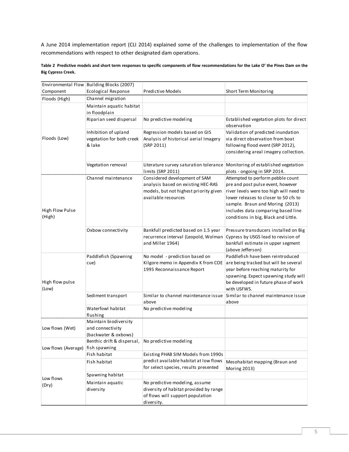A June 2014 implementation report (CLI 2014) explained some of the challenges to implementation of the flow recommendations with respect to other designated dam operations.

<span id="page-6-0"></span>

|                           | Table 2 Predictive models and short term responses to specific components of flow recommendations for the Lake O' the Pines Dam on the |  |  |
|---------------------------|----------------------------------------------------------------------------------------------------------------------------------------|--|--|
| <b>Big Cypress Creek.</b> |                                                                                                                                        |  |  |

|                           | Environmental Flow Building Blocks (2007)          |                                                                             |                                                                              |
|---------------------------|----------------------------------------------------|-----------------------------------------------------------------------------|------------------------------------------------------------------------------|
| Component                 | Ecological Response                                | <b>Predictive Models</b>                                                    | Short Term Monitoring                                                        |
| Floods (High)             | Channel migration                                  |                                                                             |                                                                              |
|                           | Maintain aquatic habitat                           |                                                                             |                                                                              |
|                           | in floodplain                                      |                                                                             |                                                                              |
|                           | Riparian seed dispersal                            | No predictive modeling                                                      | Established vegetation plots for direct                                      |
|                           |                                                    |                                                                             | observation                                                                  |
|                           | Inhibition of upland                               | Regression models based on GIS                                              | Validation of predicted inundation                                           |
| Floods (Low)              | vegetation for both creek                          | Analysis of historical aerial Imagery<br>(SRP 2011)                         | via direct observation from boat                                             |
|                           | & lake                                             |                                                                             | following flood event (SRP 2012),<br>considering areal imagery collection.   |
|                           |                                                    |                                                                             |                                                                              |
|                           | Vegetation removal                                 | Literature survey saturation tolerance Monitoring of established vegetation |                                                                              |
|                           |                                                    | limits (SRP 2011)                                                           | plots - ongoing in SRP 2014.                                                 |
|                           | Channel maintenance                                | Considered development of SAM                                               | Attempted to perform pebble count                                            |
|                           |                                                    | analysis based on existing HEC-RAS                                          | pre and post pulse event, however                                            |
|                           |                                                    | models, but not highest priority given                                      | river levels were too high will need to                                      |
|                           |                                                    | available resources                                                         | lower releases to closer to 50 cfs to                                        |
|                           |                                                    |                                                                             | sample. Braun and Moring (2013)                                              |
| High Flow Pulse<br>(High) |                                                    |                                                                             | includes data comparing based line                                           |
|                           |                                                    |                                                                             | conditions in big, Black and Little.                                         |
|                           | Oxbow connectivity                                 | Bankfull predicted based on 1.5 year                                        | Pressure transducers installed on Big                                        |
|                           |                                                    | recurrence interval (Leopold, Wolman                                        | Cypress by USGS lead to revision of                                          |
|                           |                                                    | and Miller 1964)                                                            | bankfull estimate in upper segment                                           |
|                           |                                                    |                                                                             | (above Jefferson)                                                            |
|                           | Paddlefish (Spawning                               | No model - prediction based on                                              | Paddlefish have been reintroduced                                            |
|                           | cue)                                               | Kilgore memo in Appendix K from COE                                         | are being tracked but will be several                                        |
|                           |                                                    | 1995 Reconnaissance Report                                                  | year before reaching maturity for                                            |
| High flow pulse           |                                                    |                                                                             | spawning. Expect spawning study will<br>be developed in future phase of work |
| (Low)                     |                                                    |                                                                             | with USFWS.                                                                  |
|                           | Sediment transport                                 | Similar to channel maintenance issue                                        | Similar to channel maintenance issue                                         |
|                           |                                                    | above                                                                       | above                                                                        |
|                           | Waterfowl habitat                                  | No predictive modeling                                                      |                                                                              |
|                           | flushing                                           |                                                                             |                                                                              |
|                           | Maintain biodiversity                              |                                                                             |                                                                              |
| Low flows (Wet)           | and connectivity                                   |                                                                             |                                                                              |
|                           | (backwater & oxbows)<br>Benthic drift & dispersal, | No predictive modeling                                                      |                                                                              |
| Low flows (Average)       | fish spawning                                      |                                                                             |                                                                              |
|                           | Fish habitat                                       | Existing PHAB SIM Models from 1990s                                         |                                                                              |
|                           | Fish habitat                                       | predict available habitat at low flows                                      | Mesohabitat mapping (Braun and                                               |
|                           |                                                    | for select species, results presented                                       | Moring 2013)                                                                 |
| Low flows                 | Spawning habitat                                   |                                                                             |                                                                              |
| (Dry)                     | Maintain aquatic                                   | No predictive modeling, assume                                              |                                                                              |
|                           | diversity                                          | diversity of habitat provided by range                                      |                                                                              |
|                           |                                                    | of flows will support population                                            |                                                                              |
|                           |                                                    | diversity.                                                                  |                                                                              |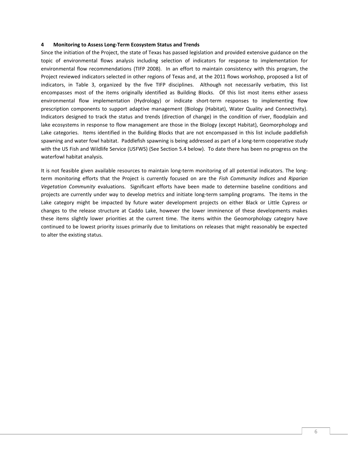#### <span id="page-7-0"></span>**4 Monitoring to Assess Long‐Term Ecosystem Status and Trends**

Since the initiation of the Project, the state of Texas has passed legislation and provided extensive guidance on the topic of environmental flows analysis including selection of indicators for response to implementation for environmental flow recommendations (TIFP 2008). In an effort to maintain consistency with this program, the Project reviewed indicators selected in other regions of Texas and, at the 2011 flows workshop, proposed a list of indicators, in [Table 3,](#page-8-0) organized by the five TIFP disciplines. Although not necessarily verbatim, this list encompasses most of the items originally identified as Building Blocks. Of this list most items either assess environmental flow implementation (Hydrology) or indicate short-term responses to implementing flow prescription components to support adaptive management (Biology (Habitat), Water Quality and Connectivity). Indicators designed to track the status and trends (direction of change) in the condition of river, floodplain and lake ecosystems in response to flow management are those in the Biology (except Habitat), Geomorphology and Lake categories. Items identified in the Building Blocks that are not encompassed in this list include paddlefish spawning and water fowl habitat. Paddlefish spawning is being addressed as part of a long-term cooperative study with the US Fish and Wildlife Service (USFWS) (See Section [5.4](#page-13-1) below). To date there has been no progress on the waterfowl habitat analysis.

It is not feasible given available resources to maintain long-term monitoring of all potential indicators. The longterm monitoring efforts that the Project is currently focused on are the *Fish Community Indices* and *Riparian Vegetation Community* evaluations. Significant efforts have been made to determine baseline conditions and projects are currently under way to develop metrics and initiate long-term sampling programs. The items in the Lake category might be impacted by future water development projects on either Black or Little Cypress or changes to the release structure at Caddo Lake, however the lower imminence of these developments makes these items slightly lower priorities at the current time. The items within the Geomorphology category have continued to be lowest priority issues primarily due to limitations on releases that might reasonably be expected to alter the existing status.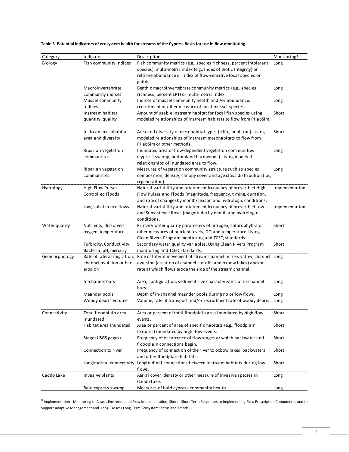| Category      | Indicator                  | Description                                                                                                | Monitoring*    |
|---------------|----------------------------|------------------------------------------------------------------------------------------------------------|----------------|
| Biology       | Fish community indices     | Fish community metrics (e.g., species richness, percent intolerant                                         | Long           |
|               |                            | species), multi-metric index (e.g., Index of Biotic Integrity) or                                          |                |
|               |                            | relative abundance or index of flow-sensitive focal species or                                             |                |
|               |                            | guilds.                                                                                                    |                |
|               | Macroinvertebrate          | Benthic macroinvertebrate community metrics (e.g., species                                                 | Long           |
|               | community indices          | richness, percent EPT) or multi-metric index.                                                              |                |
|               | Mussel community           | Indices of mussel community health and /or abundance,                                                      | Long           |
|               | indices                    | recruitment or other measure of focal mussel species.                                                      |                |
|               | Instream habitat           | Amount of usable instream habitat for focal fish species using                                             | Short          |
|               | quantity, quality          | modeled relationships of instream habitats to flow from PHabSim.                                           |                |
|               | Instream mesohabitat       | Area and diversity of mesohabitat types (riffle, pool, run). Using                                         | Short          |
|               | area and diversity         | modeled relationships of instream mesohabitats to flow from                                                |                |
|               |                            | PHabSim or other methods.                                                                                  |                |
|               | Riparian vegetation        | Inundated area of flow-dependent vegetation communities                                                    | Long           |
|               | communities                | (cypress swamp, bottomland hardwoods). Using modeled                                                       |                |
|               |                            | relationships of inundated area to flow.                                                                   |                |
|               | Riparian vegetation        | Measures of vegetation community structure such as species                                                 | Long           |
|               | communities                | composition, density, canopy cover and age class distribution (i.e.,                                       |                |
|               |                            | regeneration).                                                                                             |                |
| Hydrology     | High Flow Pulses,          | Natural variability and attainment frequency of prescribed High                                            | Implementation |
|               | <b>Controlled Floods</b>   | Flow Pulses and Floods (magnitude, frequency, timing, duration,                                            |                |
|               |                            | and rate of change) by month/season and hydrologic conditions.                                             |                |
|               | Low, subsistence flows     | Natural variability and attainment frequency of prescribed Low                                             | Implementation |
|               |                            | and Subsistence flows (magnitude) by month and hydrologic                                                  |                |
|               |                            | conditions.                                                                                                |                |
| Water quality | Nutrients, dissolved       | Primary water quality parameters of nitrogen, chlorophyll-a or                                             | Short          |
|               | oxygen, temperature        | other measures of nutrient levels, DO and temperature. Using                                               |                |
|               |                            | Clean Rivers Program monitoring and TCEQ standards.                                                        |                |
|               | Turbidity, Conductivity,   | Secondary water quality variables. Using Clean Rivers Program                                              | Short          |
|               | Bacteria, pH, mercury      | monitoring and TCEQ standards.                                                                             |                |
| Geomorphology | Rate of lateral migration, | Rate of lateral movement of stream channel across valley, channel Long                                     |                |
|               |                            | channel avulsion or bank avulsion (creation of channel cut-offs and oxbow lakes) and/or                    |                |
|               | erosion                    | rate at which flows erode the side of the stream channel.                                                  |                |
|               | In-channel bars            | Area, configuration, sediment size characteristics of in-channel                                           | Long           |
|               |                            | bars.                                                                                                      |                |
|               | Meander pools              | Depth of in-channel meander pools during no or low flows.                                                  | Long           |
|               | Woody debris volume        | Volume, rate of transport and/or recruitment rate of woody debris. Long                                    |                |
| Connectivity  | Total floodplain area      | Area or percent of total floodplain area inundated by high flow                                            | Short          |
|               | inundated                  | events.                                                                                                    |                |
|               | Habitat area inundated     | Area or percent of area of specific habitats (e.g., floodplain<br>features) inundated by high flow events. | Short          |
|               | Stage (USGS gages)         | Frequency of occurrence of flow stages at which backwater and                                              | Short          |
|               |                            | floodplain connections begin.                                                                              |                |
|               | Connection to river        | Frequency of connection of the river to oxbow lakes, backwaters                                            | Short          |
|               |                            | and other floodplain habitats.                                                                             |                |
|               | Longitudinal connectivity  | Longitudinal connections between instream habitats during low<br>flows.                                    | Short          |
| Caddo Lake    | Invasive plants            | Aerial cover, density or other measure of invasive species in                                              | Long           |
|               |                            | Caddo Lake.                                                                                                |                |
|               | Bald cypress swamp         | Measures of bald cypress community health.                                                                 | Long           |

<span id="page-8-0"></span>**Table 3 Potential indicators of ecosystem health for streams of the Cypress Basin for use in flow monitoring.**

\*Implementation - Monitoring to Assess Environmental Flow Implementation, Short - Short‐Term Responses to Implementing Flow Prescription Components and to Support Adaptive Management and Long - Assess Long‐Term Ecosystem Status and Trends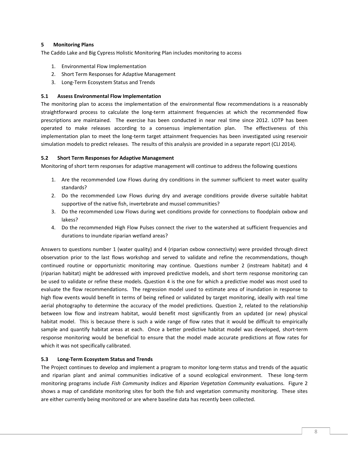#### <span id="page-9-0"></span>**5 Monitoring Plans**

The Caddo Lake and Big Cypress Holistic Monitoring Plan includes monitoring to access

- 1. Environmental Flow Implementation
- 2. Short Term Responses for Adaptive Management
- 3. Long‐Term Ecosystem Status and Trends

#### <span id="page-9-1"></span>**5.1 Assess Environmental Flow Implementation**

The monitoring plan to access the implementation of the environmental flow recommendations is a reasonably straightforward process to calculate the long-term attainment frequencies at which the recommended flow prescriptions are maintained. The exercise has been conducted in near real time since 2012. LOTP has been operated to make releases according to a consensus implementation plan. The effectiveness of this implementation plan to meet the long-term target attainment frequencies has been investigated using reservoir simulation models to predict releases. The results of this analysis are provided in a separate report (CLI 2014).

#### <span id="page-9-2"></span>**5.2 Short Term Responses for Adaptive Management**

Monitoring of short term responses for adaptive management will continue to address the following questions

- 1. Are the recommended Low Flows during dry conditions in the summer sufficient to meet water quality standards?
- 2. Do the recommended Low Flows during dry and average conditions provide diverse suitable habitat supportive of the native fish, invertebrate and mussel communities?
- 3. Do the recommended Low Flows during wet conditions provide for connections to floodplain oxbow and lakess?
- 4. Do the recommended High Flow Pulses connect the river to the watershed at sufficient frequencies and durations to inundate riparian wetland areas?

Answers to questions number 1 (water quality) and 4 (riparian oxbow connectivity) were provided through direct observation prior to the last flows workshop and served to validate and refine the recommendations, though continued routine or opportunistic monitoring may continue. Questions number 2 (instream habitat) and 4 (riparian habitat) might be addressed with improved predictive models, and short term response monitoring can be used to validate or refine these models. Question 4 is the one for which a predictive model was most used to evaluate the flow recommendations. The regression model used to estimate area of inundation in response to high flow events would benefit in terms of being refined or validated by target monitoring, ideally with real time aerial photography to determine the accuracy of the model predictions. Question 2, related to the relationship between low flow and instream habitat, would benefit most significantly from an updated (or new) physical habitat model. This is because there is such a wide range of flow rates that it would be difficult to empirically sample and quantify habitat areas at each. Once a better predictive habitat model was developed, short-term response monitoring would be beneficial to ensure that the model made accurate predictions at flow rates for which it was not specifically calibrated.

#### <span id="page-9-3"></span>**5.3 Long‐Term Ecosystem Status and Trends**

The Project continues to develop and implement a program to monitor long-term status and trends of the aquatic and riparian plant and animal communities indicative of a sound ecological environment. These long-term monitoring programs include *Fish Community Indices* and *Riparian Vegetation Community* evaluations. [Figure 2](#page-10-1) shows a map of candidate monitoring sites for both the fish and vegetation community monitoring. These sites are either currently being monitored or are where baseline data has recently been collected.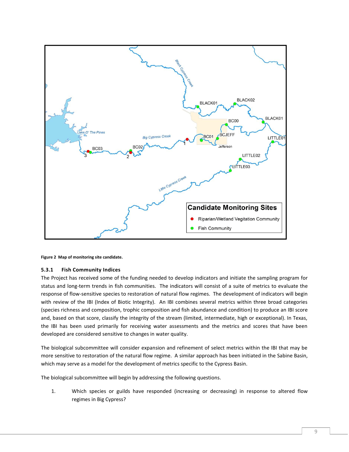

<span id="page-10-1"></span>**Figure 2 Map of monitoring site candidate.**

#### <span id="page-10-0"></span>**5.3.1 Fish Community Indices**

The Project has received some of the funding needed to develop indicators and initiate the sampling program for status and long-term trends in fish communities. The indicators will consist of a suite of metrics to evaluate the response of flow-sensitive species to restoration of natural flow regimes. The development of indicators will begin with review of the IBI (Index of Biotic Integrity). An IBI combines several metrics within three broad categories (species richness and composition, trophic composition and fish abundance and condition) to produce an IBI score and, based on that score, classify the integrity of the stream (limited, intermediate, high or exceptional). In Texas, the IBI has been used primarily for receiving water assessments and the metrics and scores that have been developed are considered sensitive to changes in water quality.

The biological subcommittee will consider expansion and refinement of select metrics within the IBI that may be more sensitive to restoration of the natural flow regime. A similar approach has been initiated in the Sabine Basin, which may serve as a model for the development of metrics specific to the Cypress Basin.

The biological subcommittee will begin by addressing the following questions.

1. Which species or guilds have responded (increasing or decreasing) in response to altered flow regimes in Big Cypress?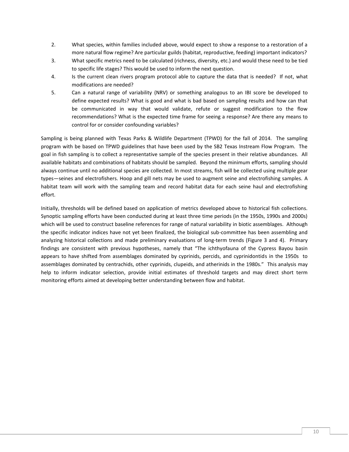- 2. What species, within families included above, would expect to show a response to a restoration of a more natural flow regime? Are particular guilds (habitat, reproductive, feeding) important indicators?
- 3. What specific metrics need to be calculated (richness, diversity, etc.) and would these need to be tied to specific life stages? This would be used to inform the next question.
- 4. Is the current clean rivers program protocol able to capture the data that is needed? If not, what modifications are needed?
- 5. Can a natural range of variability (NRV) or something analogous to an IBI score be developed to define expected results? What is good and what is bad based on sampling results and how can that be communicated in way that would validate, refute or suggest modification to the flow recommendations? What is the expected time frame for seeing a response? Are there any means to control for or consider confounding variables?

Sampling is being planned with Texas Parks & Wildlife Department (TPWD) for the fall of 2014. The sampling program with be based on TPWD guidelines that have been used by the SB2 Texas Instream Flow Program. The goal in fish sampling is to collect a representative sample of the species present in their relative abundances. All available habitats and combinations of habitats should be sampled. Beyond the minimum efforts, sampling should always continue until no additional species are collected. In most streams, fish will be collected using multiple gear types—seines and electrofishers. Hoop and gill nets may be used to augment seine and electrofishing samples. A habitat team will work with the sampling team and record habitat data for each seine haul and electrofishing effort.

Initially, thresholds will be defined based on application of metrics developed above to historical fish collections. Synoptic sampling efforts have been conducted during at least three time periods (in the 1950s, 1990s and 2000s) which will be used to construct baseline references for range of natural variability in biotic assemblages. Although the specific indicator indices have not yet been finalized, the biological sub-committee has been assembling and analyzing historical collections and made preliminary evaluations of long-term trends (Figure 3 and 4). Primary findings are consistent with previous hypotheses, namely that "The ichthyofauna of the Cypress Bayou basin appears to have shifted from assemblages dominated by cyprinids, percids, and cyprinidontids in the 1950s to assemblages dominated by centrachids, other cyprinids, clupeids, and atherinids in the 1980s." This analysis may help to inform indicator selection, provide initial estimates of threshold targets and may direct short term monitoring efforts aimed at developing better understanding between flow and habitat.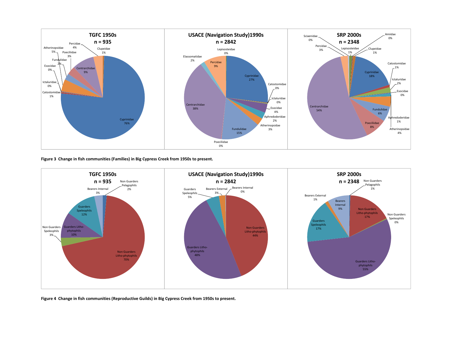

**Figure 3 Change in fish communities (Families) in Big Cypress Creek from 1950s to present.**



<span id="page-12-1"></span><span id="page-12-0"></span>**Figure 4 Change in fish communities (Reproductive Guilds) in Big Cypress Creek from 1950s to present.**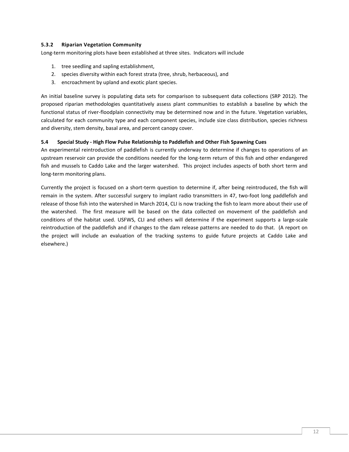#### <span id="page-13-0"></span>**5.3.2 Riparian Vegetation Community**

Long-term monitoring plots have been established at three sites. Indicators will include

- 1. tree seedling and sapling establishment,
- 2. species diversity within each forest strata (tree, shrub, herbaceous), and
- 3. encroachment by upland and exotic plant species.

An initial baseline survey is populating data sets for comparison to subsequent data collections (SRP 2012). The proposed riparian methodologies quantitatively assess plant communities to establish a baseline by which the functional status of river-floodplain connectivity may be determined now and in the future. Vegetation variables, calculated for each community type and each component species, include size class distribution, species richness and diversity, stem density, basal area, and percent canopy cover.

#### <span id="page-13-1"></span>**5.4 Special Study - High Flow Pulse Relationship to Paddlefish and Other Fish Spawning Cues**

An experimental reintroduction of paddlefish is currently underway to determine if changes to operations of an upstream reservoir can provide the conditions needed for the long-term return of this fish and other endangered fish and mussels to Caddo Lake and the larger watershed. This project includes aspects of both short term and long-term monitoring plans.

Currently the project is focused on a short-term question to determine if, after being reintroduced, the fish will remain in the system. After successful surgery to implant radio transmitters in 47, two-foot long paddlefish and release of those fish into the watershed in March 2014, CLI is now tracking the fish to learn more about their use of the watershed. The first measure will be based on the data collected on movement of the paddlefish and conditions of the habitat used. USFWS, CLI and others will determine if the experiment supports a large-scale reintroduction of the paddlefish and if changes to the dam release patterns are needed to do that. (A report on the project will include an evaluation of the tracking systems to guide future projects at Caddo Lake and elsewhere.)